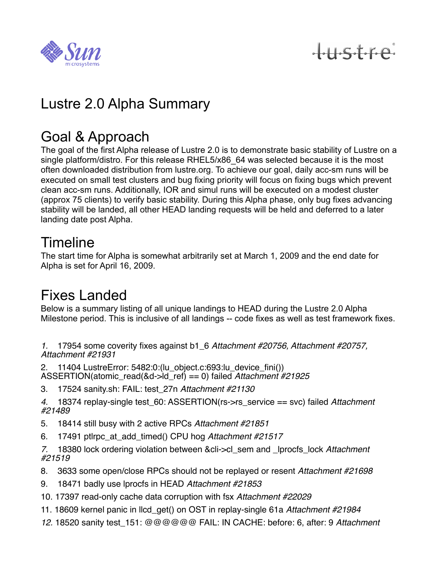

tustre

# Lustre 2.0 Alpha Summary

#### Goal & Approach

The goal of the first Alpha release of Lustre 2.0 is to demonstrate basic stability of Lustre on a single platform/distro. For this release RHEL5/x86 64 was selected because it is the most often downloaded distribution from lustre.org. To achieve our goal, daily acc-sm runs will be executed on small test clusters and bug fixing priority will focus on fixing bugs which prevent clean acc-sm runs. Additionally, IOR and simul runs will be executed on a modest cluster (approx 75 clients) to verify basic stability. During this Alpha phase, only bug fixes advancing stability will be landed, all other HEAD landing requests will be held and deferred to a later landing date post Alpha.

### Timeline

The start time for Alpha is somewhat arbitrarily set at March 1, 2009 and the end date for Alpha is set for April 16, 2009.

### Fixes Landed

Below is a summary listing of all unique landings to HEAD during the Lustre 2.0 Alpha Milestone period. This is inclusive of all landings -- code fixes as well as test framework fixes.

*1.* 17954 some coverity fixes against b1\_6 *Attachment #20756, Attachment #20757, Attachment #21931*

2. 11404 LustreError: 5482:0:(lu\_object.c:693:lu\_device\_fini()) ASSERTION(atomic\_read(&d->ld\_ref) == 0) failed *Attachment #21925*

3. 17524 sanity.sh: FAIL: test\_27n *Attachment #21130*

*4.* 18374 replay-single test\_60: ASSERTION(rs->rs\_service == svc) failed *Attachment #21489*

- 5. 18414 still busy with 2 active RPCs *Attachment #21851*
- 6. 17491 ptlrpc\_at\_add\_timed() CPU hog *Attachment #21517*

*7.* 18380 lock ordering violation between &cli->cl\_sem and \_lprocfs\_lock *Attachment #21519*

- 8. 3633 some open/close RPCs should not be replayed or resent *Attachment #21698*
- 9. 18471 badly use lprocfs in HEAD *Attachment #21853*
- 10. 17397 read-only cache data corruption with fsx *Attachment #22029*
- 11. 18609 kernel panic in llcd\_get() on OST in replay-single 61a *Attachment #21984*
- *12.* 18520 sanity test\_151: @@@@@@ FAIL: IN CACHE: before: 6, after: 9 *Attachment*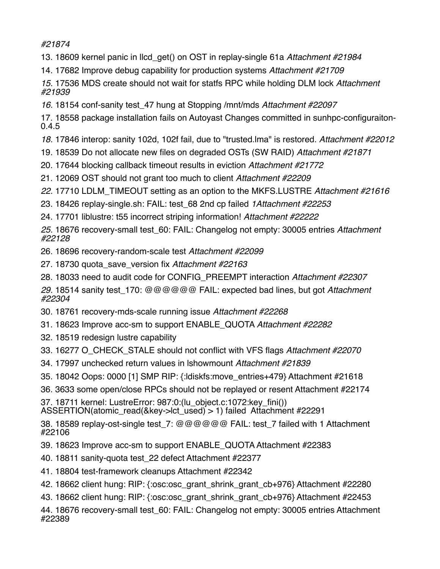*#21874*

- 13. 18609 kernel panic in llcd\_get() on OST in replay-single 61a *Attachment #21984*
- 14. 17682 Improve debug capability for production systems *Attachment #21709*

*15.* 17536 MDS create should not wait for statfs RPC while holding DLM lock *Attachment #21939*

*16.* 18154 conf-sanity test\_47 hung at Stopping /mnt/mds *Attachment #22097*

17. 18558 package installation fails on Autoyast Changes committed in sunhpc-configuraiton-0.4.5

- *18.* 17846 interop: sanity 102d, 102f fail, due to "trusted.lma" is restored. *Attachment #22012*
- 19. 18539 Do not allocate new files on degraded OSTs (SW RAID) *Attachment #21871*
- 20. 17644 blocking callback timeout results in eviction *Attachment #21772*
- 21. 12069 OST should not grant too much to client *Attachment #22209*
- *22.* 17710 LDLM\_TIMEOUT setting as an option to the MKFS.LUSTRE *Attachment #21616*
- 23. 18426 replay-single.sh: FAIL: test\_68 2nd cp failed *1Attachment #22253*
- 24. 17701 liblustre: t55 incorrect striping information! *Attachment #22222*

*25.* 18676 recovery-small test\_60: FAIL: Changelog not empty: 30005 entries *Attachment #22128*

- 26. 18696 recovery-random-scale test *Attachment #22099*
- 27. 18730 quota\_save\_version fix *Attachment #22163*
- 28. 18033 need to audit code for CONFIG\_PREEMPT interaction *Attachment #22307*

*29.* 18514 sanity test\_170: @@@@@@ FAIL: expected bad lines, but got *Attachment #22304*

- 30. 18761 recovery-mds-scale running issue *Attachment #22268*
- 31. 18623 Improve acc-sm to support ENABLE\_QUOTA *Attachment #22282*
- 32. 18519 redesign lustre capability
- 33. 16277 O\_CHECK\_STALE should not conflict with VFS flags *Attachment #22070*
- 34. 17997 unchecked return values in lshowmount *Attachment #21839*
- 35. 18042 Oops: 0000 [1] SMP RIP: {:ldiskfs:move\_entries+479} Attachment #21618
- 36. 3633 some open/close RPCs should not be replayed or resent Attachment #22174

37. 18711 kernel: LustreError: 987:0:(lu\_object.c:1072:key\_fini()) ASSERTION(atomic\_read(&key->lct\_used) > 1) failed Attachment #22291

38. 18589 replay-ost-single test 7: @@@@@@ FAIL: test 7 failed with 1 Attachment #22106

- 39. 18623 Improve acc-sm to support ENABLE\_QUOTA Attachment #22383
- 40. 18811 sanity-quota test\_22 defect Attachment #22377
- 41. 18804 test-framework cleanups Attachment #22342
- 42. 18662 client hung: RIP: {:osc:osc\_grant\_shrink\_grant\_cb+976} Attachment #22280
- 43. 18662 client hung: RIP: {:osc:osc\_grant\_shrink\_grant\_cb+976} Attachment #22453

44. 18676 recovery-small test\_60: FAIL: Changelog not empty: 30005 entries Attachment #22389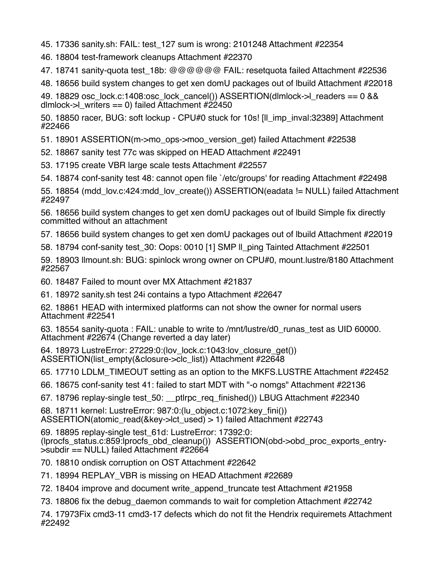45. 17336 sanity.sh: FAIL: test\_127 sum is wrong: 2101248 Attachment #22354

- 46. 18804 test-framework cleanups Attachment #22370
- 47. 18741 sanity-quota test\_18b: @@@@@@ FAIL: resetquota failed Attachment #22536
- 48. 18656 build system changes to get xen domU packages out of lbuild Attachment #22018

49. 18829 osc\_lock.c:1408:osc\_lock\_cancel()) ASSERTION(dlmlock->l\_readers == 0 && dlmlock- $>$ l writers == 0) failed Attachment #22450

50. 18850 racer, BUG: soft lockup - CPU#0 stuck for 10s! [ll\_imp\_inval:32389] Attachment #22466

51. 18901 ASSERTION(m->mo\_ops->moo\_version\_get) failed Attachment #22538

- 52. 18867 sanity test 77c was skipped on HEAD Attachment #22491
- 53. 17195 create VBR large scale tests Attachment #22557
- 54. 18874 conf-sanity test 48: cannot open file `/etc/groups' for reading Attachment #22498

55. 18854 (mdd lov.c:424:mdd lov create()) ASSERTION(eadata != NULL) failed Attachment #22497

56. 18656 build system changes to get xen domU packages out of lbuild Simple fix directly committed without an attachment

- 57. 18656 build system changes to get xen domU packages out of lbuild Attachment #22019
- 58. 18794 conf-sanity test\_30: Oops: 0010 [1] SMP ll\_ping Tainted Attachment #22501

59. 18903 llmount.sh: BUG: spinlock wrong owner on CPU#0, mount.lustre/8180 Attachment #22567

- 60. 18487 Failed to mount over MX Attachment #21837
- 61. 18972 sanity.sh test 24i contains a typo Attachment #22647

62. 18861 HEAD with intermixed platforms can not show the owner for normal users Attachment #22541

63. 18554 sanity-quota : FAIL: unable to write to /mnt/lustre/d0\_runas\_test as UID 60000. Attachment #22674 (Change reverted a day later)

64. 18973 LustreError: 27229:0:(lov\_lock.c:1043:lov\_closure\_get()) ASSERTION(list\_empty(&closure->clc\_list)) Attachment #22648

65. 17710 LDLM\_TIMEOUT setting as an option to the MKFS.LUSTRE Attachment #22452

- 66. 18675 conf-sanity test 41: failed to start MDT with "-o nomgs" Attachment #22136
- 67. 18796 replay-single test\_50: \_\_ptlrpc\_req\_finished()) LBUG Attachment #22340

68. 18711 kernel: LustreError: 987:0:(lu\_object.c:1072:key\_fini()) ASSERTION(atomic\_read(&key->lct\_used) > 1) failed Attachment #22743

69. 18895 replay-single test\_61d: LustreError: 17392:0: (lprocfs\_status.c:859:lprocfs\_obd\_cleanup()) ASSERTION(obd->obd\_proc\_exports\_entry- >subdir == NULL) failed Attachment #22664

70. 18810 ondisk corruption on OST Attachment #22642

- 71. 18994 REPLAY\_VBR is missing on HEAD Attachment #22689
- 72. 18404 improve and document write\_append\_truncate test Attachment #21958
- 73. 18806 fix the debug\_daemon commands to wait for completion Attachment #22742

74. 17973Fix cmd3-11 cmd3-17 defects which do not fit the Hendrix requiremets Attachment #22492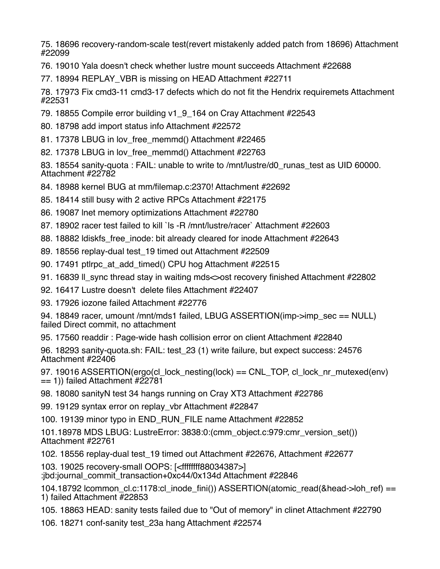75. 18696 recovery-random-scale test(revert mistakenly added patch from 18696) Attachment #22099

76. 19010 Yala doesn't check whether lustre mount succeeds Attachment #22688

77. 18994 REPLAY\_VBR is missing on HEAD Attachment #22711

78. 17973 Fix cmd3-11 cmd3-17 defects which do not fit the Hendrix requiremets Attachment #22531

- 79. 18855 Compile error building v1\_9\_164 on Cray Attachment #22543
- 80. 18798 add import status info Attachment #22572
- 81. 17378 LBUG in lov free memmd() Attachment #22465
- 82. 17378 LBUG in lov free memmd() Attachment #22763

83. 18554 sanity-quota : FAIL: unable to write to /mnt/lustre/d0 runas lest as UID 60000. Attachment #22782

- 84. 18988 kernel BUG at mm/filemap.c:2370! Attachment #22692
- 85. 18414 still busy with 2 active RPCs Attachment #22175
- 86. 19087 lnet memory optimizations Attachment #22780
- 87. 18902 racer test failed to kill `ls -R /mnt/lustre/racer` Attachment #22603
- 88. 18882 Idiskfs free inode: bit already cleared for inode Attachment #22643
- 89. 18556 replay-dual test\_19 timed out Attachment #22509
- 90. 17491 ptlrpc\_at\_add\_timed() CPU hog Attachment #22515
- 91. 16839 ll sync thread stay in waiting mds ost recovery finished Attachment #22802
- 92. 16417 Lustre doesn't delete files Attachment #22407

93. 17926 iozone failed Attachment #22776

94. 18849 racer, umount /mnt/mds1 failed, LBUG ASSERTION(imp->imp\_sec == NULL) failed Direct commit, no attachment

95. 17560 readdir : Page-wide hash collision error on client Attachment #22840

96. 18293 sanity-quota.sh: FAIL: test\_23 (1) write failure, but expect success: 24576 Attachment #22406

97. 19016 ASSERTION(ergo(cl\_lock\_nesting(lock) == CNL\_TOP, cl\_lock\_nr\_mutexed(env)  $== 1)$ ) failed Attachment #22781

98. 18080 sanityN test 34 hangs running on Cray XT3 Attachment #22786

99. 19129 syntax error on replay\_vbr Attachment #22847

100. 19139 minor typo in END\_RUN\_FILE name Attachment #22852

101.18978 MDS LBUG: LustreError: 3838:0:(cmm\_object.c:979:cmr\_version\_set()) Attachment #22761

102. 18556 replay-dual test\_19 timed out Attachment #22676, Attachment #22677

103. 19025 recovery-small OOPS: [<ffffffff88034387>]

:jbd:journal\_commit\_transaction+0xc44/0x134d Attachment #22846

104.18792 lcommon\_cl.c:1178:cl\_inode\_fini()) ASSERTION(atomic\_read(&head->loh\_ref) == 1) failed Attachment #22853

105. 18863 HEAD: sanity tests failed due to "Out of memory" in clinet Attachment #22790

106. 18271 conf-sanity test\_23a hang Attachment #22574